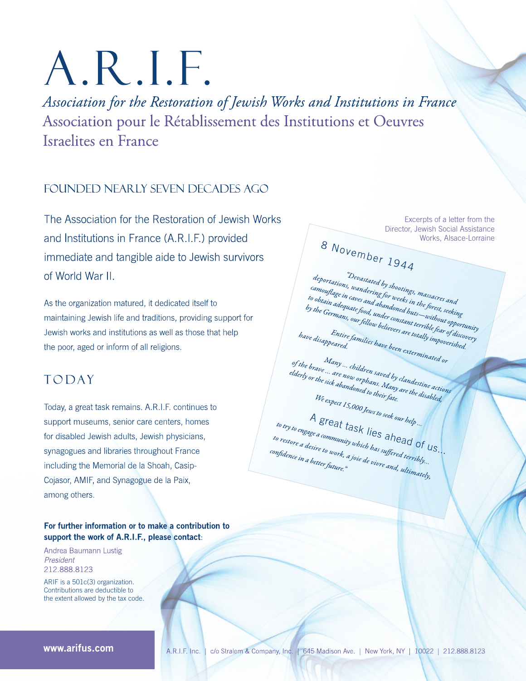# A.R.I.F.

Association for the Restoration of Jewish Works and Institutions in France Association pour le Rétablissement des Institutions et Oeuvres Israelites en France

## FOUNDED NEARLY SEVEN DECADES AGO

The Association for the Restoration of Jewish Works and Institutions in France (A.R.I.F.) provided immediate and tangible aide to Jewish survivors of World War II.

As the organization matured, it dedicated itself to maintaining Jewish life and traditions, providing support for Jewish works and institutions as well as those that help the poor, aged or inform of all religions.

# **TODAY**

Today, a great task remains. A.R.I.F. continues to support museums, senior care centers, homes for disabled Jewish adults, Jewish physicians, synagogues and libraries throughout France including the Memorial de la Shoah, Casip-Cojasor, AMIF, and Synagogue de la Paix, among others.

#### For further information or to make a contribution to support the work of A.R.I.F., please contact:

Andrea Baumann Lustig President 212.888.8123

ARIF is a 501c(3) organization. Contributions are deductible to the extent allowed by the tax code.

Excerpts of a letter from the Director, Jewish Social Assistance Works, Alsace-Lorraine 8 November 1944

"Devastated by shootings, massacres and deportations, wandering for weeks in the forest, seeking acpertations, wanter this for weak in the forest serving rampagnage in caves and availanced must a constant terrible fear of discovery in our unique your, many consumer unique year of an<br>by the Germans, our fellow believers are totally impoverished. Entire families have been exterminated or have disappeared. Many ... children saved by clandestine actions

of the brave ... are now orphans. Many are the disabled, elderly or the sick abandoned to their fate. We expect 15,000 Jews to seek our help ...

A great task lies ahead of  $us$ . to try to engage a community which has suffered terribly... to restore a desire to work, a joie de vivre and, ultimately, confidence in a better future."

www.arifus.com